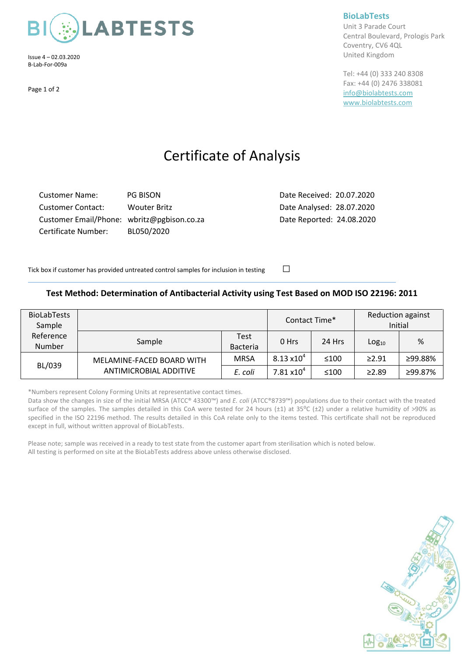

Issue 4 – 02.03.2020 B-Lab-For-009a

Page 1 of 2

## **BioLabTests**

Unit 3 Parade Court Central Boulevard, Prologis Park Coventry, CV6 4QL United Kingdom

Tel: +44 (0) 333 240 8308 Fax: +44 (0) 2476 338081 [info@biolabtests.com](mailto:info@biolabtests.com) [www.biolabtests.com](http://www.biolabtests.com/)

## Certificate of Analysis

Customer Name: PG BISON Date Received: 20.07.2020 Customer Contact: Wouter Britz **Customer Contact:** Wouter Britz **Date Analysed: 28.07.2020** Customer Email/Phone: wbritz@pgbison.co.za Date Reported: 24.08.2020 Certificate Number: BL050/2020

Tick box if customer has provided untreated control samples for inclusion in testing  $\Box$ 

## **Test Method: Determination of Antibacterial Activity using Test Based on MOD ISO 22196: 2011**

| <b>BioLabTests</b><br>Sample |                                                     | Contact Time*                  |                      | Reduction against<br>Initial |                   |         |
|------------------------------|-----------------------------------------------------|--------------------------------|----------------------|------------------------------|-------------------|---------|
| Reference<br><b>Number</b>   | Sample                                              | <b>Test</b><br><b>Bacteria</b> | 0 Hrs                | 24 Hrs                       | Log <sub>10</sub> | %       |
| BL/039                       | MELAMINE-FACED BOARD WITH<br>ANTIMICROBIAL ADDITIVE | <b>MRSA</b>                    | $8.13 \times 10^{4}$ | $\leq 100$                   | $\geq 2.91$       | ≥99.88% |
|                              |                                                     | E. coli                        | $7.81 \times 10^{4}$ | $\leq 100$                   | $\geq 2.89$       | ≥99.87% |

\*Numbers represent Colony Forming Units at representative contact times.

Data show the changes in size of the initial MRSA (ATCC® 43300™) and *E. coli* (ATCC®8739™) populations due to their contact with the treated surface of the samples. The samples detailed in this CoA were tested for 24 hours ( $\pm 1$ ) at 35<sup>o</sup>C ( $\pm 2$ ) under a relative humidity of >90% as specified in the ISO 22196 method. The results detailed in this CoA relate only to the items tested. This certificate shall not be reproduced except in full, without written approval of BioLabTests.

Please note; sample was received in a ready to test state from the customer apart from sterilisation which is noted below. All testing is performed on site at the BioLabTests address above unless otherwise disclosed.